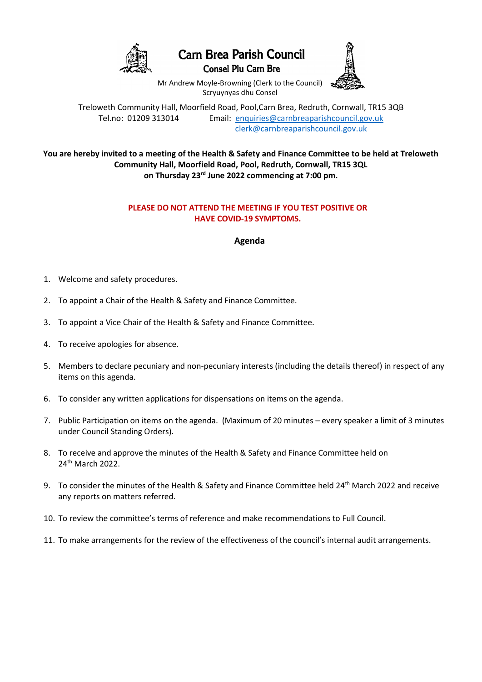

## **Carn Brea Parish Council**

**Consel Plu Carn Bre** 



Mr Andrew Moyle-Browning (Clerk to the Council) Scryuynyas dhu Consel

Treloweth Community Hall, Moorfield Road, Pool,Carn Brea, Redruth, Cornwall, TR15 3QB Tel.no: 01209 313014 Email: [enquiries@carnbreaparishcouncil.gov.uk](mailto:enquiries@carnbreaparishcouncil.gov.uk) [clerk@carnbreaparishcouncil.gov.uk](mailto:clerk@carnbreaparishcouncil.gov.uk)

**You are hereby invited to a meeting of the Health & Safety and Finance Committee to be held at Treloweth Community Hall, Moorfield Road, Pool, Redruth, Cornwall, TR15 3QL on Thursday 23rd June 2022 commencing at 7:00 pm.**

## **PLEASE DO NOT ATTEND THE MEETING IF YOU TEST POSITIVE OR HAVE COVID-19 SYMPTOMS.**

**Agenda**

- 1. Welcome and safety procedures.
- 2. To appoint a Chair of the Health & Safety and Finance Committee.
- 3. To appoint a Vice Chair of the Health & Safety and Finance Committee.
- 4. To receive apologies for absence.
- 5. Members to declare pecuniary and non-pecuniary interests (including the details thereof) in respect of any items on this agenda.
- 6. To consider any written applications for dispensations on items on the agenda.
- 7. Public Participation on items on the agenda. (Maximum of 20 minutes every speaker a limit of 3 minutes under Council Standing Orders).
- 8. To receive and approve the minutes of the Health & Safety and Finance Committee held on 24th March 2022.
- 9. To consider the minutes of the Health & Safety and Finance Committee held 24<sup>th</sup> March 2022 and receive any reports on matters referred.
- 10. To review the committee's terms of reference and make recommendations to Full Council.
- 11. To make arrangements for the review of the effectiveness of the council's internal audit arrangements.